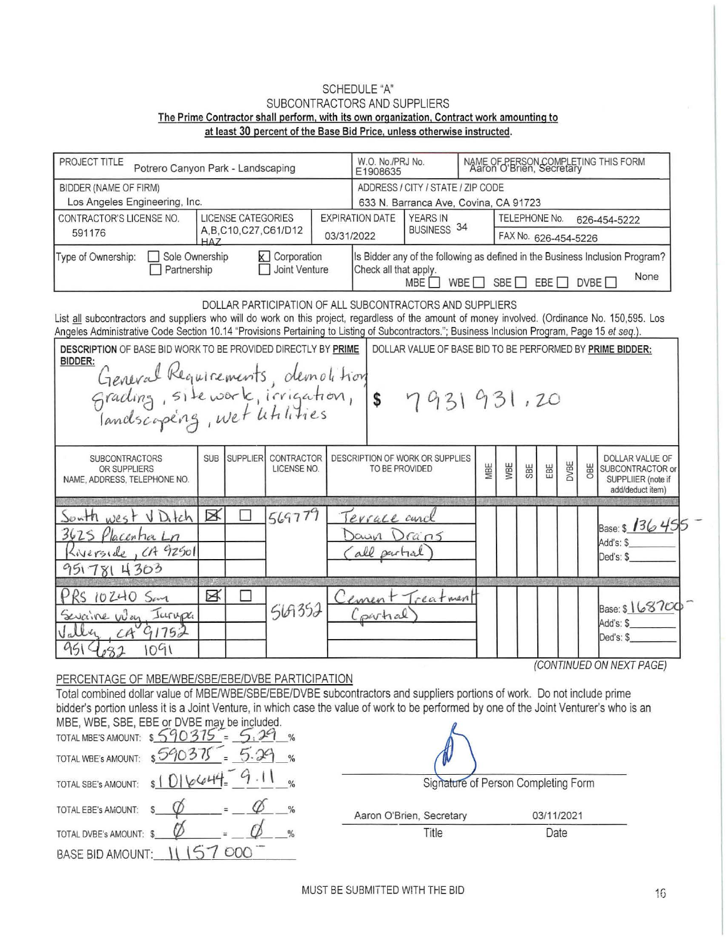## SCHEDULE "A" SUBCONTRACTORS AND SUPPLIERS The Prime Contractor shall perform, with its own organization, Contract work amounting to at least 30 percent of the Base Bid Price, unless otherwise instructed.

| PROJECT TITLE<br>Potrero Canyon Park - Landscaping                                                                                                                                                                                                                                                | W.O. No./PRJ No.<br>NAME OF PERSON COMPLETING THIS FORM<br>Aaron O'Brien, Secretary<br>E1908635 |            |                 |                           |            |                                                          |                                                          |                                                                                                                                                                      |                               |     |     |      |     |                                                                               |  |  |
|---------------------------------------------------------------------------------------------------------------------------------------------------------------------------------------------------------------------------------------------------------------------------------------------------|-------------------------------------------------------------------------------------------------|------------|-----------------|---------------------------|------------|----------------------------------------------------------|----------------------------------------------------------|----------------------------------------------------------------------------------------------------------------------------------------------------------------------|-------------------------------|-----|-----|------|-----|-------------------------------------------------------------------------------|--|--|
| <b>BIDDER (NAME OF FIRM)</b>                                                                                                                                                                                                                                                                      |                                                                                                 |            |                 |                           |            | ADDRESS / CITY / STATE / ZIP CODE                        |                                                          |                                                                                                                                                                      |                               |     |     |      |     |                                                                               |  |  |
| Los Angeles Engineering, Inc.                                                                                                                                                                                                                                                                     | 633 N. Barranca Ave, Covina, CA 91723                                                           |            |                 |                           |            |                                                          |                                                          |                                                                                                                                                                      |                               |     |     |      |     |                                                                               |  |  |
| <b>LICENSE CATEGORIES</b><br>CONTRACTOR'S LICENSE NO.                                                                                                                                                                                                                                             |                                                                                                 |            |                 |                           |            | <b>EXPIRATION DATE</b><br><b>YEARS IN</b><br>BUSINESS 34 |                                                          |                                                                                                                                                                      | TELEPHONE No.<br>626-454-5222 |     |     |      |     |                                                                               |  |  |
| 591176                                                                                                                                                                                                                                                                                            | A, B, C10, C27, C61/D12<br>$H\Delta$ 7                                                          |            |                 |                           | 03/31/2022 |                                                          |                                                          | FAX No. 626-454-5226                                                                                                                                                 |                               |     |     |      |     |                                                                               |  |  |
| Type of Ownership:                                                                                                                                                                                                                                                                                | Sole Ownership<br><b>X</b> Corporation<br>Joint Venture<br>Partnership                          |            |                 |                           |            |                                                          |                                                          | Is Bidder any of the following as defined in the Business Inclusion Program?<br>Check all that apply.<br>None<br>SBE<br>WBE<br>EBE I<br>DVBE <sub>[</sub><br>MBE I I |                               |     |     |      |     |                                                                               |  |  |
| List all subcontractors and suppliers who will do work on this project, regardless of the amount of money involved. (Ordinance No. 150,595. Los<br>Angeles Administrative Code Section 10.14 "Provisions Pertaining to Listing of Subcontractors."; Business Inclusion Program, Page 15 et seq.). |                                                                                                 |            |                 |                           |            |                                                          | DOLLAR PARTICIPATION OF ALL SUBCONTRACTORS AND SUPPLIERS |                                                                                                                                                                      |                               |     |     |      |     |                                                                               |  |  |
| DESCRIPTION OF BASE BID WORK TO BE PROVIDED DIRECTLY BY PRIME<br>DOLLAR VALUE OF BASE BID TO BE PERFORMED BY PRIME BIDDER:<br>BIDDER:                                                                                                                                                             |                                                                                                 |            |                 |                           |            |                                                          |                                                          |                                                                                                                                                                      |                               |     |     |      |     |                                                                               |  |  |
| General Requirements, demolition<br>Grading, site work, irrigation, \$ 7931931,20<br>Jandscopéng, wet litilities                                                                                                                                                                                  |                                                                                                 |            |                 |                           |            |                                                          |                                                          |                                                                                                                                                                      |                               |     |     |      |     |                                                                               |  |  |
| <b>SUBCONTRACTORS</b><br>OR SUPPLIERS<br>NAME, ADDRESS, TELEPHONE NO.                                                                                                                                                                                                                             |                                                                                                 | <b>SUB</b> | <b>SUPPLIER</b> | CONTRACTOR<br>LICENSE NO. |            | TO BE PROVIDED                                           | DESCRIPTION OF WORK OR SUPPLIES                          | MBE                                                                                                                                                                  | WBE                           | SBE | EBE | DVBE | OBE | DOLLAR VALUE OF<br>SUBCONTRACTOR or<br>SUPPLIIER (note if<br>add/deduct item) |  |  |
| South west<br>3625<br>Placentia Ln<br>Liverside, CA 92501<br>9517814303                                                                                                                                                                                                                           | VDIEh                                                                                           | ⊠          |                 | 569779                    |            | errace and<br>Jaun<br>all putial                         | Drans                                                    |                                                                                                                                                                      |                               |     |     |      |     | Base: $\frac{136}{45}$<br>Add's: \$<br>Ded's: \$                              |  |  |
| 10240 San<br>Sevaine Way Jurupa                                                                                                                                                                                                                                                                   | 1091                                                                                            | B          |                 | 569352                    |            | Cement<br>partial                                        | reatmen                                                  |                                                                                                                                                                      |                               |     |     |      |     | Base: \$168700<br>Add's: \$<br>Ded's: \$                                      |  |  |
|                                                                                                                                                                                                                                                                                                   |                                                                                                 |            |                 |                           |            |                                                          |                                                          |                                                                                                                                                                      |                               |     |     |      |     | (CONTINUED ON NEXT PAGE)                                                      |  |  |

## PERCENTAGE OF MBE/WBE/SBE/EBE/DVBE PARTICIPATION

Total combined dollar value of MBE/WBE/SBE/EBE/DVBE subcontractors and suppliers portions of work. Do not include prime bidder's portion unless it is a Joint Venture, in which case the value of work to be performed by one of the Joint Venturer's who is an MBE, WBE, SBE, EBE or DVBE may be included.

| TOTAL MBE'S AMOUNT: \$590375 |          |               |
|------------------------------|----------|---------------|
| TOTAL WBE's AMOUNT:          | 590375   |               |
| TOTAL SBE's AMOUNT:          | s1D16644 |               |
| TOTAL EBE's AMOUNT:          |          | $\frac{0}{6}$ |
| TOTAL DVBE's AMOUNT: \$      |          | $\frac{0}{0}$ |
| <b>BASE BID AMOUNT:</b>      |          |               |

| 03/11/2021 |                                     |
|------------|-------------------------------------|
| Date       |                                     |
|            | Signature of Person Completing Form |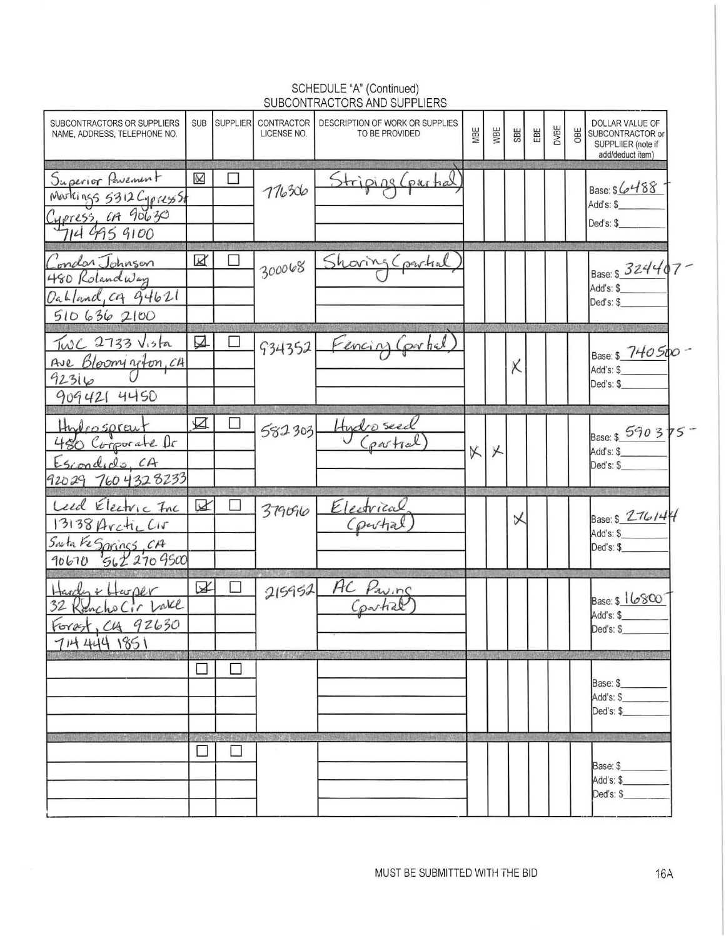| SUBCONTRACTORS OR SUPPLIERS<br>NAME, ADDRESS, TELEPHONE NO.                         | <b>SUB</b> | <b>SUPPLIER</b>   | <b>CONTRACTOR</b><br>LICENSE NO. | DESCRIPTION OF WORK OR SUPPLIES<br>TO BE PROVIDED | MBE | WBE | <b>SBE</b> | EBE | DVBE | OBE | DOLLAR VALUE OF<br>SUBCONTRACTOR or<br>SUPPLIIER (note if<br>add/deduct item) |  |
|-------------------------------------------------------------------------------------|------------|-------------------|----------------------------------|---------------------------------------------------|-----|-----|------------|-----|------|-----|-------------------------------------------------------------------------------|--|
| Superior Powerunt<br>Markings 5312 Cypress 51<br>Cypress, CA 90630                  | $\propto$  | u                 | 776306                           | Striping (partial                                 |     |     |            |     |      |     | Base: $$6488$<br>Add's: \$<br>Ded's: \$                                       |  |
| Condor Johnson<br>480 Rolandway<br>Oakland, CA 94621                                | X          |                   | 300068                           | Shoring Cpartial                                  |     |     |            |     |      |     | Base: \$ 324407-<br>Add's: \$<br>Ded's: \$                                    |  |
| 5106362100<br>$TwC$ 2733 $Visha$<br>Ave Bloomington, CA<br>92316<br>909421 4450     | ☑          |                   | 934352                           | Fencing Control                                   |     |     | X          |     |      |     | Base: \$ 740500-<br>Add's: \$<br>Ded's: \$                                    |  |
| Hydrosprait<br>480 Corporate Dr<br>Escondido, CA<br>92029 760 4328233               | ☑          | П                 | 582303                           | Hydro seed                                        | X   | X   |            |     |      |     | Base: \$ 590 375<br>Add's: \$<br>Ded's: \$                                    |  |
| Leed Electric Inc<br>13138 Arctic Cir<br>Sarta Fe Sprincs, CA<br>90670 S62 270 9500 | ∨          |                   | 379090                           | Electrical<br>Courtial                            |     |     | 乂          |     |      |     | Base: \$ $276144$<br>Add's: \$<br>Ded's: \$                                   |  |
| Harden + Harper<br>32 Kancho Cir Vake<br>Forest, C4 92630<br>714 444 1851           | ☑          | □                 | 215952                           | AC Paving                                         |     |     |            |     |      |     | Base: \$ 16800<br>Add's: \$<br>Ded's: \$                                      |  |
|                                                                                     | $\Box$     |                   |                                  |                                                   |     |     |            |     |      |     | <b>TYPE AGENCY PRODUCTS</b><br>Base: \$<br>Add's: \$<br>Ded's: \$             |  |
|                                                                                     | $\Box$     | 高标准指示方序<br>$\Box$ | <b>The Company</b>               |                                                   |     |     |            |     |      |     | Base: \$<br>Add's: \$<br>Ded's: \$                                            |  |

## SCHEDULE "A" (Continued)<br>SUBCONTRACTORS AND SUPPLIERS